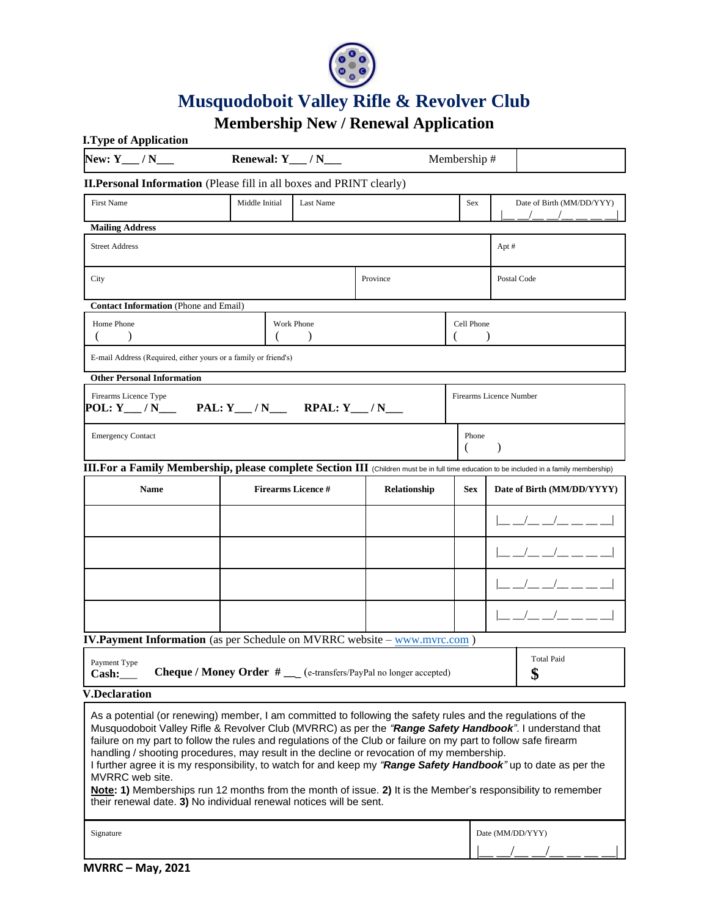

# **Musquodoboit Valley Rifle & Revolver Club**

# **Membership New / Renewal Application**

| <b>I.Type of Application</b>                                                                                                                                                                                                                                                                                                                                                                                                                                                                                                                                                                                                                                                                                                                                        |                      |                           |            |                         |                            |
|---------------------------------------------------------------------------------------------------------------------------------------------------------------------------------------------------------------------------------------------------------------------------------------------------------------------------------------------------------------------------------------------------------------------------------------------------------------------------------------------------------------------------------------------------------------------------------------------------------------------------------------------------------------------------------------------------------------------------------------------------------------------|----------------------|---------------------------|------------|-------------------------|----------------------------|
| New: $Y_$ / N___                                                                                                                                                                                                                                                                                                                                                                                                                                                                                                                                                                                                                                                                                                                                                    | Renewal: $Y_{}/N_{}$ |                           |            | Membership#             |                            |
| <b>II.Personal Information</b> (Please fill in all boxes and PRINT clearly)                                                                                                                                                                                                                                                                                                                                                                                                                                                                                                                                                                                                                                                                                         |                      |                           |            |                         |                            |
| <b>First Name</b>                                                                                                                                                                                                                                                                                                                                                                                                                                                                                                                                                                                                                                                                                                                                                   | Middle Initial       | Last Name                 |            | Sex                     | Date of Birth (MM/DD/YYY)  |
| <b>Mailing Address</b>                                                                                                                                                                                                                                                                                                                                                                                                                                                                                                                                                                                                                                                                                                                                              |                      |                           |            |                         |                            |
| <b>Street Address</b>                                                                                                                                                                                                                                                                                                                                                                                                                                                                                                                                                                                                                                                                                                                                               |                      |                           |            |                         | Apt #                      |
| City                                                                                                                                                                                                                                                                                                                                                                                                                                                                                                                                                                                                                                                                                                                                                                |                      |                           | Province   |                         | Postal Code                |
| <b>Contact Information</b> (Phone and Email)                                                                                                                                                                                                                                                                                                                                                                                                                                                                                                                                                                                                                                                                                                                        |                      |                           |            |                         |                            |
| Home Phone<br>Work Phone<br>€<br>€<br>$\mathcal{E}$                                                                                                                                                                                                                                                                                                                                                                                                                                                                                                                                                                                                                                                                                                                 |                      |                           | Cell Phone |                         |                            |
| E-mail Address (Required, either yours or a family or friend's)                                                                                                                                                                                                                                                                                                                                                                                                                                                                                                                                                                                                                                                                                                     |                      |                           |            |                         |                            |
| <b>Other Personal Information</b>                                                                                                                                                                                                                                                                                                                                                                                                                                                                                                                                                                                                                                                                                                                                   |                      |                           |            |                         |                            |
| Firearms Licence Type<br>$POL: Y \_\_ / N \_\_$                                                                                                                                                                                                                                                                                                                                                                                                                                                                                                                                                                                                                                                                                                                     |                      |                           |            | Firearms Licence Number |                            |
| <b>Emergency Contact</b>                                                                                                                                                                                                                                                                                                                                                                                                                                                                                                                                                                                                                                                                                                                                            |                      |                           |            | Phone<br>(              |                            |
| III.For a Family Membership, please complete Section III (Children must be in full time education to be included in a family membership)                                                                                                                                                                                                                                                                                                                                                                                                                                                                                                                                                                                                                            |                      |                           |            |                         |                            |
| <b>Name</b>                                                                                                                                                                                                                                                                                                                                                                                                                                                                                                                                                                                                                                                                                                                                                         |                      | <b>Firearms Licence #</b> |            | <b>Sex</b>              | Date of Birth (MM/DD/YYYY) |
|                                                                                                                                                                                                                                                                                                                                                                                                                                                                                                                                                                                                                                                                                                                                                                     |                      |                           |            |                         | _ _/_ _/_ __ __ _          |
|                                                                                                                                                                                                                                                                                                                                                                                                                                                                                                                                                                                                                                                                                                                                                                     |                      |                           |            |                         |                            |
|                                                                                                                                                                                                                                                                                                                                                                                                                                                                                                                                                                                                                                                                                                                                                                     |                      |                           |            |                         |                            |
|                                                                                                                                                                                                                                                                                                                                                                                                                                                                                                                                                                                                                                                                                                                                                                     |                      |                           |            |                         |                            |
| <b>IV.Payment Information</b> (as per Schedule on MVRRC website - www.mvrc.com)                                                                                                                                                                                                                                                                                                                                                                                                                                                                                                                                                                                                                                                                                     |                      |                           |            |                         |                            |
| Payment Type<br><b>Cheque / Money Order #</b> __ (e-transfers/PayPal no longer accepted)<br>Cash:                                                                                                                                                                                                                                                                                                                                                                                                                                                                                                                                                                                                                                                                   |                      |                           |            |                         | <b>Total Paid</b><br>\$    |
| <b>V.Declaration</b>                                                                                                                                                                                                                                                                                                                                                                                                                                                                                                                                                                                                                                                                                                                                                |                      |                           |            |                         |                            |
| As a potential (or renewing) member, I am committed to following the safety rules and the regulations of the<br>Musquodoboit Valley Rifle & Revolver Club (MVRRC) as per the "Range Safety Handbook". I understand that<br>failure on my part to follow the rules and regulations of the Club or failure on my part to follow safe firearm<br>handling / shooting procedures, may result in the decline or revocation of my membership.<br>I further agree it is my responsibility, to watch for and keep my "Range Safety Handbook" up to date as per the<br>MVRRC web site.<br>Note: 1) Memberships run 12 months from the month of issue. 2) It is the Member's responsibility to remember<br>their renewal date. 3) No individual renewal notices will be sent. |                      |                           |            |                         |                            |
| Signature                                                                                                                                                                                                                                                                                                                                                                                                                                                                                                                                                                                                                                                                                                                                                           |                      |                           |            | Date (MM/DD/YYY)        |                            |
|                                                                                                                                                                                                                                                                                                                                                                                                                                                                                                                                                                                                                                                                                                                                                                     |                      |                           |            |                         |                            |